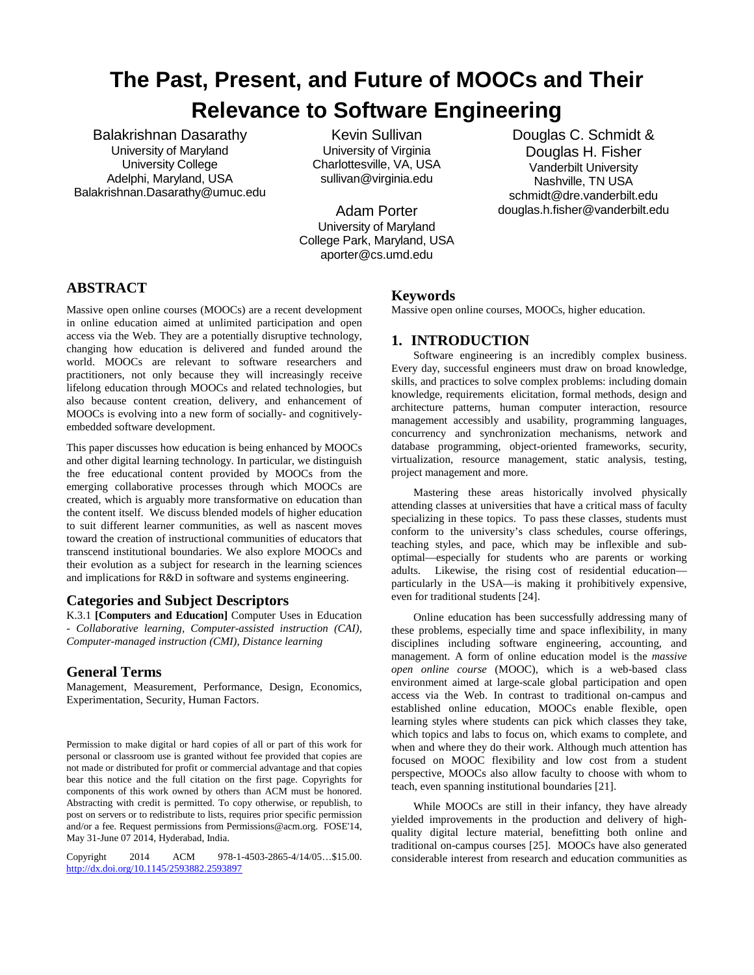# **The Past, Present, and Future of MOOCs and Their Relevance to Software Engineering**

Balakrishnan Dasarathy University of Maryland University College Adelphi, Maryland, USA [Balakrishnan.Dasarathy@umuc.edu](mailto:Balakrishnan.Dasarathy@umuc.edu)

Kevin Sullivan University of Virginia Charlottesville, VA, USA [sullivan@virginia.edu](mailto:sullivan@virginia.edu)

Adam Porter University of Maryland College Park, Maryland, USA [aporter@cs.umd.edu](mailto:aporter@cs.umd.edu)

Douglas C. Schmidt & Douglas H. Fisher Vanderbilt University Nashville, TN USA [schmidt@dre.vanderbilt.edu](mailto:schmidt@dre.vanderbilt.edu) [douglas.h.fisher@vanderbilt.edu](mailto:douglas.h.fisher@vanderbilt.edu)

# **ABSTRACT**

Massive open online courses (MOOCs) are a recent development in online education aimed at unlimited participation and open access via the Web. They are a potentially disruptive technology, changing how education is delivered and funded around the world. MOOCs are relevant to software researchers and practitioners, not only because they will increasingly receive lifelong education through MOOCs and related technologies, but also because content creation, delivery, and enhancement of MOOCs is evolving into a new form of socially- and cognitivelyembedded software development.

This paper discusses how education is being enhanced by MOOCs and other digital learning technology. In particular, we distinguish the free educational content provided by MOOCs from the emerging collaborative processes through which MOOCs are created, which is arguably more transformative on education than the content itself. We discuss blended models of higher education to suit different learner communities, as well as nascent moves toward the creation of instructional communities of educators that transcend institutional boundaries. We also explore MOOCs and their evolution as a subject for research in the learning sciences and implications for R&D in software and systems engineering.

## **Categories and Subject Descriptors**

K.3.1 **[Computers and Education]** Computer Uses in Education - *Collaborative learning, Computer-assisted instruction (CAI), Computer-managed instruction (CMI), Distance learning*

## **General Terms**

Management, Measurement, Performance, Design, Economics, Experimentation, Security, Human Factors.

Permission to make digital or hard copies of all or part of this work for personal or classroom use is granted without fee provided that copies are not made or distributed for profit or commercial advantage and that copies bear this notice and the full citation on the first page. Copyrights for components of this work owned by others than ACM must be honored. Abstracting with credit is permitted. To copy otherwise, or republish, to post on servers or to redistribute to lists, requires prior specific permission and/or a fee. Request permissions from Permissions@acm.org. FOSE'14, May 31-June 07 2014, Hyderabad, India.

Copyright 2014 ACM 978-1-4503-2865-4/14/05…\$15.00. <http://dx.doi.org/10.1145/2593882.2593897>

### **Keywords**

Massive open online courses, MOOCs, higher education.

## **1. INTRODUCTION**

Software engineering is an incredibly complex business. Every day, successful engineers must draw on broad knowledge, skills, and practices to solve complex problems: including domain knowledge, requirements elicitation, formal methods, design and architecture patterns, human computer interaction, resource management accessibly and usability, programming languages, concurrency and synchronization mechanisms, network and database programming, object-oriented frameworks, security, virtualization, resource management, static analysis, testing, project management and more.

Mastering these areas historically involved physically attending classes at universities that have a critical mass of faculty specializing in these topics. To pass these classes, students must conform to the university's class schedules, course offerings, teaching styles, and pace, which may be inflexible and suboptimal—especially for students who are parents or working adults. Likewise, the rising cost of residential education particularly in the USA—is making it prohibitively expensive, even for traditional students [24].

Online education has been successfully addressing many of these problems, especially time and space inflexibility, in many disciplines including software engineering, accounting, and management. A form of online education model is the *massive open online course* (MOOC), which is a web-based class environment aimed at large-scale global participation and open access via the Web. In contrast to traditional on-campus and established online education, MOOCs enable flexible, open learning styles where students can pick which classes they take, which topics and labs to focus on, which exams to complete, and when and where they do their work. Although much attention has focused on MOOC flexibility and low cost from a student perspective, MOOCs also allow faculty to choose with whom to teach, even spanning institutional boundaries [21].

While MOOCs are still in their infancy, they have already yielded improvements in the production and delivery of highquality digital lecture material, benefitting both online and traditional on-campus courses [25]. MOOCs have also generated considerable interest from research and education communities as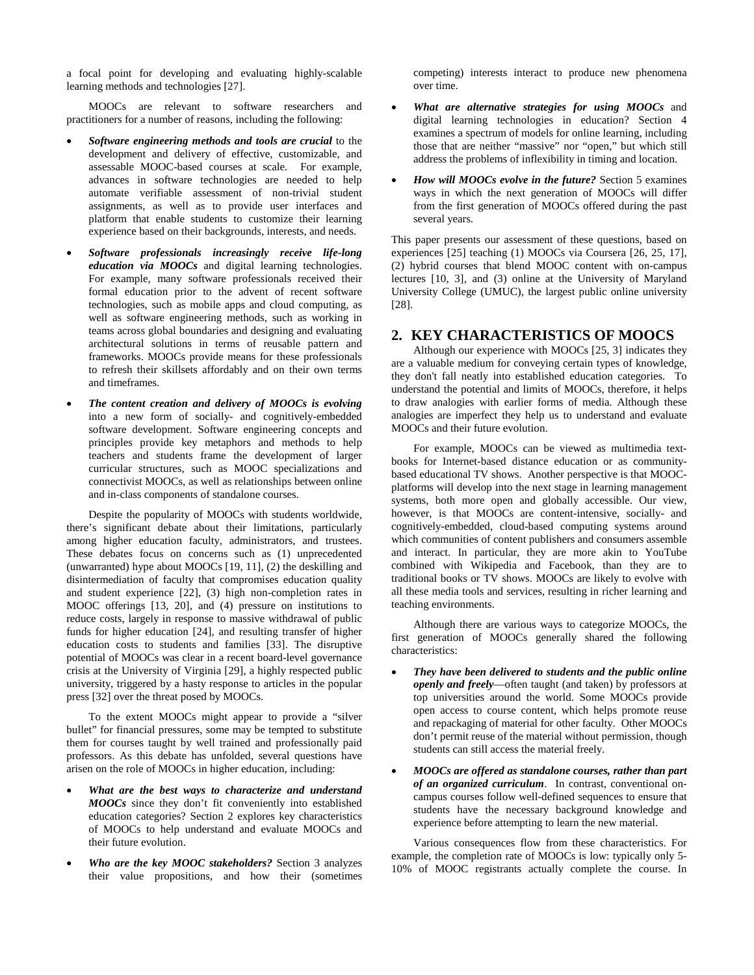a focal point for developing and evaluating highly-scalable learning methods and technologies [27].

MOOCs are relevant to software researchers and practitioners for a number of reasons, including the following:

- *Software engineering methods and tools are crucial* to the development and delivery of effective, customizable, and assessable MOOC-based courses at scale. For example, advances in software technologies are needed to help automate verifiable assessment of non-trivial student assignments, as well as to provide user interfaces and platform that enable students to customize their learning experience based on their backgrounds, interests, and needs.
- *Software professionals increasingly receive life-long education via MOOCs* and digital learning technologies. For example, many software professionals received their formal education prior to the advent of recent software technologies, such as mobile apps and cloud computing, as well as software engineering methods, such as working in teams across global boundaries and designing and evaluating architectural solutions in terms of reusable pattern and frameworks. MOOCs provide means for these professionals to refresh their skillsets affordably and on their own terms and timeframes.
- *The content creation and delivery of MOOCs is evolving* into a new form of socially- and cognitively-embedded software development. Software engineering concepts and principles provide key metaphors and methods to help teachers and students frame the development of larger curricular structures, such as MOOC specializations and connectivist MOOCs, as well as relationships between online and in-class components of standalone courses.

Despite the popularity of MOOCs with students worldwide, there's significant debate about their limitations, particularly among higher education faculty, administrators, and trustees. These debates focus on concerns such as (1) unprecedented (unwarranted) hype about MOOCs [19, 11], (2) the deskilling and disintermediation of faculty that compromises education quality and student experience [22], (3) high non-completion rates in MOOC offerings [13, 20], and (4) pressure on institutions to reduce costs, largely in response to massive withdrawal of public funds for higher education [24], and resulting transfer of higher education costs to students and families [33]. The disruptive potential of MOOCs was clear in a recent board-level governance crisis at the University of Virginia [29], a highly respected public university, triggered by a hasty response to articles in the popular press [32] over the threat posed by MOOCs.

To the extent MOOCs might appear to provide a "silver bullet" for financial pressures, some may be tempted to substitute them for courses taught by well trained and professionally paid professors. As this debate has unfolded, several questions have arisen on the role of MOOCs in higher education, including:

- *What are the best ways to characterize and understand MOOCs* since they don't fit conveniently into established education categories? Section 2 explores key characteristics of MOOCs to help understand and evaluate MOOCs and their future evolution.
- *Who are the key MOOC stakeholders?* Section 3 analyzes their value propositions, and how their (sometimes

competing) interests interact to produce new phenomena over time.

- *What are alternative strategies for using MOOCs* and digital learning technologies in education? Section 4 examines a spectrum of models for online learning, including those that are neither "massive" nor "open," but which still address the problems of inflexibility in timing and location.
- *How will MOOCs evolve in the future?* Section 5 examines ways in which the next generation of MOOCs will differ from the first generation of MOOCs offered during the past several years.

This paper presents our assessment of these questions, based on experiences [25] teaching (1) MOOCs via Coursera [26, 25, 17], (2) hybrid courses that blend MOOC content with on-campus lectures [10, 3], and (3) online at the University of Maryland University College (UMUC), the largest public online university [28].

#### **2. KEY CHARACTERISTICS OF MOOCS**

Although our experience with MOOCs [25, 3] indicates they are a valuable medium for conveying certain types of knowledge, they don't fall neatly into established education categories. To understand the potential and limits of MOOCs, therefore, it helps to draw analogies with earlier forms of media. Although these analogies are imperfect they help us to understand and evaluate MOOCs and their future evolution.

For example, MOOCs can be viewed as multimedia textbooks for Internet-based distance education or as communitybased educational TV shows. Another perspective is that MOOCplatforms will develop into the next stage in learning management systems, both more open and globally accessible. Our view, however, is that MOOCs are content-intensive, socially- and cognitively-embedded, cloud-based computing systems around which communities of content publishers and consumers assemble and interact. In particular, they are more akin to YouTube combined with Wikipedia and Facebook, than they are to traditional books or TV shows. MOOCs are likely to evolve with all these media tools and services, resulting in richer learning and teaching environments.

Although there are various ways to categorize MOOCs, the first generation of MOOCs generally shared the following characteristics:

- *They have been delivered to students and the public online openly and freely*—often taught (and taken) by professors at top universities around the world. Some MOOCs provide open access to course content, which helps promote reuse and repackaging of material for other faculty. Other MOOCs don't permit reuse of the material without permission, though students can still access the material freely.
- *MOOCs are offered as standalone courses, rather than part of an organized curriculum*. In contrast, conventional oncampus courses follow well-defined sequences to ensure that students have the necessary background knowledge and experience before attempting to learn the new material.

Various consequences flow from these characteristics. For example, the completion rate of MOOCs is low: typically only 5- 10% of MOOC registrants actually complete the course. In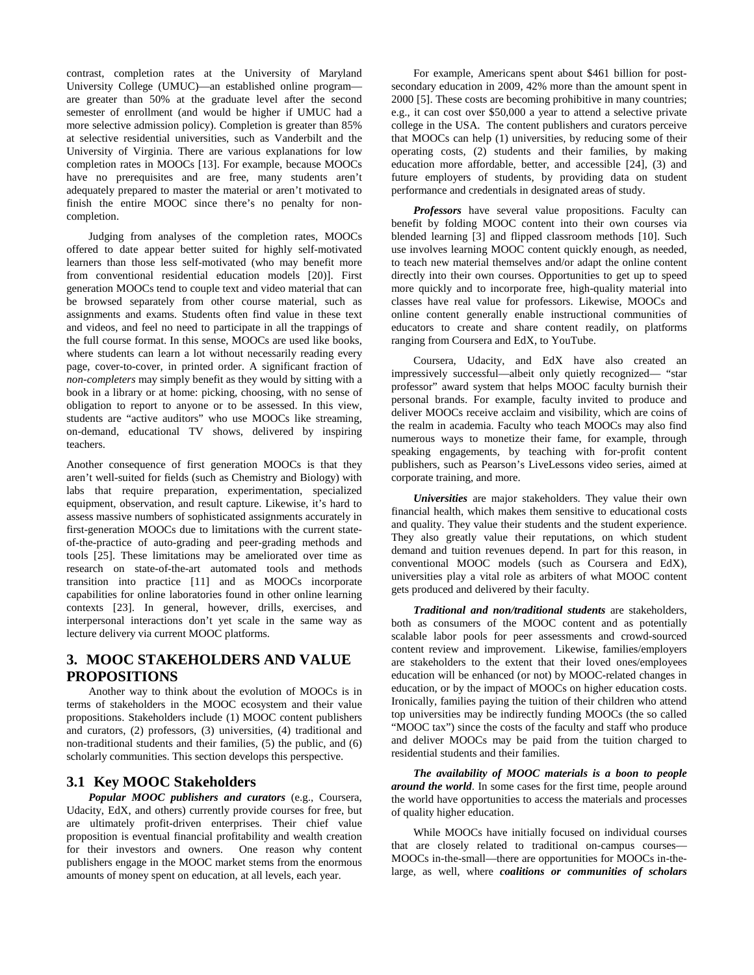contrast, completion rates at the University of Maryland University College (UMUC)—an established online program are greater than 50% at the graduate level after the second semester of enrollment (and would be higher if UMUC had a more selective admission policy). Completion is greater than 85% at selective residential universities, such as Vanderbilt and the University of Virginia. There are various explanations for low completion rates in MOOCs [13]. For example, because MOOCs have no prerequisites and are free, many students aren't adequately prepared to master the material or aren't motivated to finish the entire MOOC since there's no penalty for noncompletion.

Judging from analyses of the completion rates, MOOCs offered to date appear better suited for highly self-motivated learners than those less self-motivated (who may benefit more from conventional residential education models [20)]. First generation MOOCs tend to couple text and video material that can be browsed separately from other course material, such as assignments and exams. Students often find value in these text and videos, and feel no need to participate in all the trappings of the full course format. In this sense, MOOCs are used like books, where students can learn a lot without necessarily reading every page, cover-to-cover, in printed order. A significant fraction of *non-completers* may simply benefit as they would by sitting with a book in a library or at home: picking, choosing, with no sense of obligation to report to anyone or to be assessed. In this view, students are "active auditors" who use MOOCs like streaming, on-demand, educational TV shows, delivered by inspiring teachers.

Another consequence of first generation MOOCs is that they aren't well-suited for fields (such as Chemistry and Biology) with labs that require preparation, experimentation, specialized equipment, observation, and result capture. Likewise, it's hard to assess massive numbers of sophisticated assignments accurately in first-generation MOOCs due to limitations with the current stateof-the-practice of auto-grading and peer-grading methods and tools [25]. These limitations may be ameliorated over time as research on state-of-the-art automated tools and methods transition into practice [11] and as MOOCs incorporate capabilities for online laboratories found in other online learning contexts [23]. In general, however, drills, exercises, and interpersonal interactions don't yet scale in the same way as lecture delivery via current MOOC platforms.

# **3. MOOC STAKEHOLDERS AND VALUE PROPOSITIONS**

Another way to think about the evolution of MOOCs is in terms of stakeholders in the MOOC ecosystem and their value propositions. Stakeholders include (1) MOOC content publishers and curators, (2) professors, (3) universities, (4) traditional and non-traditional students and their families, (5) the public, and (6) scholarly communities. This section develops this perspective.

## **3.1 Key MOOC Stakeholders**

*Popular MOOC publishers and curators* (e.g., Coursera, Udacity, EdX, and others) currently provide courses for free, but are ultimately profit-driven enterprises. Their chief value proposition is eventual financial profitability and wealth creation for their investors and owners. One reason why content publishers engage in the MOOC market stems from the enormous amounts of money spent on education, at all levels, each year.

For example, Americans spent about \$461 billion for postsecondary education in 2009, 42% more than the amount spent in 2000 [5]. These costs are becoming prohibitive in many countries; e.g., it can cost over \$50,000 a year to attend a selective private college in the USA. The content publishers and curators perceive that MOOCs can help (1) universities, by reducing some of their operating costs, (2) students and their families, by making education more affordable, better, and accessible [24], (3) and future employers of students, by providing data on student performance and credentials in designated areas of study.

*Professors* have several value propositions. Faculty can benefit by folding MOOC content into their own courses via blended learning [3] and flipped classroom methods [10]. Such use involves learning MOOC content quickly enough, as needed, to teach new material themselves and/or adapt the online content directly into their own courses. Opportunities to get up to speed more quickly and to incorporate free, high-quality material into classes have real value for professors. Likewise, MOOCs and online content generally enable instructional communities of educators to create and share content readily, on platforms ranging from Coursera and EdX, to YouTube.

Coursera, Udacity, and EdX have also created an impressively successful—albeit only quietly recognized— "star professor" award system that helps MOOC faculty burnish their personal brands. For example, faculty invited to produce and deliver MOOCs receive acclaim and visibility, which are coins of the realm in academia. Faculty who teach MOOCs may also find numerous ways to monetize their fame, for example, through speaking engagements, by teaching with for-profit content publishers, such as Pearson's LiveLessons video series, aimed at corporate training, and more.

*Universities* are major stakeholders. They value their own financial health, which makes them sensitive to educational costs and quality. They value their students and the student experience. They also greatly value their reputations, on which student demand and tuition revenues depend. In part for this reason, in conventional MOOC models (such as Coursera and EdX), universities play a vital role as arbiters of what MOOC content gets produced and delivered by their faculty.

*Traditional and non/traditional students* are stakeholders, both as consumers of the MOOC content and as potentially scalable labor pools for peer assessments and crowd-sourced content review and improvement. Likewise, families/employers are stakeholders to the extent that their loved ones/employees education will be enhanced (or not) by MOOC-related changes in education, or by the impact of MOOCs on higher education costs. Ironically, families paying the tuition of their children who attend top universities may be indirectly funding MOOCs (the so called "MOOC tax") since the costs of the faculty and staff who produce and deliver MOOCs may be paid from the tuition charged to residential students and their families.

*The availability of MOOC materials is a boon to people around the world*. In some cases for the first time, people around the world have opportunities to access the materials and processes of quality higher education.

While MOOCs have initially focused on individual courses that are closely related to traditional on-campus courses— MOOCs in-the-small—there are opportunities for MOOCs in-thelarge, as well, where *coalitions or communities of scholars*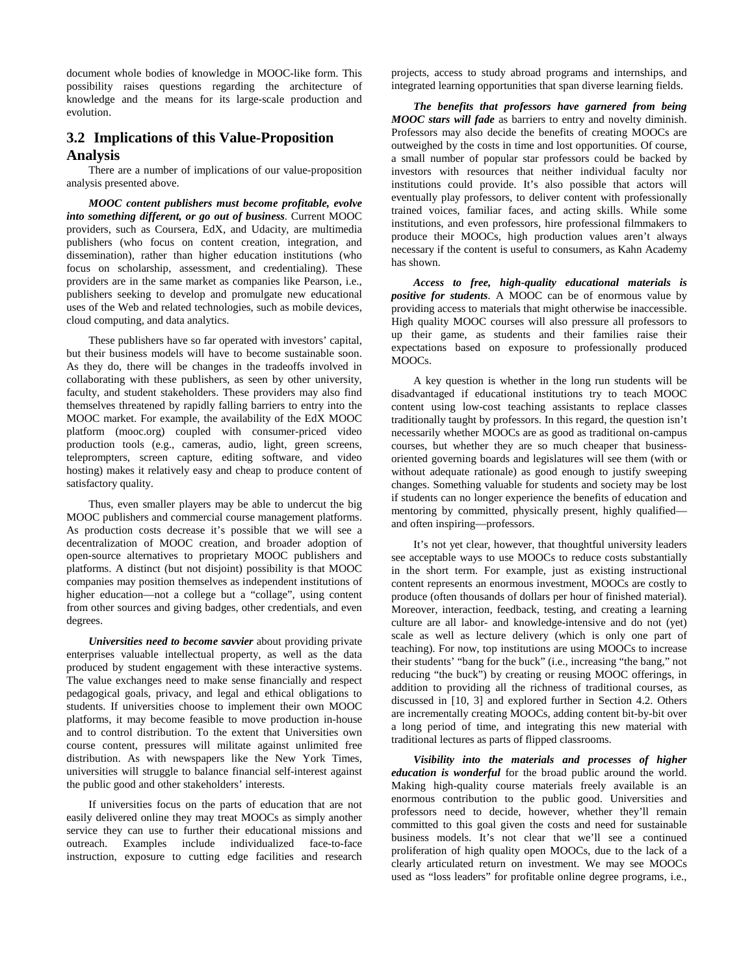document whole bodies of knowledge in MOOC-like form. This possibility raises questions regarding the architecture of knowledge and the means for its large-scale production and evolution.

## **3.2 Implications of this Value-Proposition Analysis**

There are a number of implications of our value-proposition analysis presented above.

*MOOC content publishers must become profitable, evolve into something different, or go out of business*. Current MOOC providers, such as Coursera, EdX, and Udacity, are multimedia publishers (who focus on content creation, integration, and dissemination), rather than higher education institutions (who focus on scholarship, assessment, and credentialing). These providers are in the same market as companies like Pearson, i.e., publishers seeking to develop and promulgate new educational uses of the Web and related technologies, such as mobile devices, cloud computing, and data analytics.

These publishers have so far operated with investors' capital, but their business models will have to become sustainable soon. As they do, there will be changes in the tradeoffs involved in collaborating with these publishers, as seen by other university, faculty, and student stakeholders. These providers may also find themselves threatened by rapidly falling barriers to entry into the MOOC market. For example, the availability of the EdX MOOC platform (mooc.org) coupled with consumer-priced video production tools (e.g., cameras, audio, light, green screens, teleprompters, screen capture, editing software, and video hosting) makes it relatively easy and cheap to produce content of satisfactory quality.

Thus, even smaller players may be able to undercut the big MOOC publishers and commercial course management platforms. As production costs decrease it's possible that we will see a decentralization of MOOC creation, and broader adoption of open-source alternatives to proprietary MOOC publishers and platforms. A distinct (but not disjoint) possibility is that MOOC companies may position themselves as independent institutions of higher education—not a college but a "collage", using content from other sources and giving badges, other credentials, and even degrees.

*Universities need to become savvier* about providing private enterprises valuable intellectual property, as well as the data produced by student engagement with these interactive systems. The value exchanges need to make sense financially and respect pedagogical goals, privacy, and legal and ethical obligations to students. If universities choose to implement their own MOOC platforms, it may become feasible to move production in-house and to control distribution. To the extent that Universities own course content, pressures will militate against unlimited free distribution. As with newspapers like the New York Times, universities will struggle to balance financial self-interest against the public good and other stakeholders' interests.

If universities focus on the parts of education that are not easily delivered online they may treat MOOCs as simply another service they can use to further their educational missions and outreach. Examples include individualized face-to-face instruction, exposure to cutting edge facilities and research

projects, access to study abroad programs and internships, and integrated learning opportunities that span diverse learning fields.

*The benefits that professors have garnered from being MOOC stars will fade* as barriers to entry and novelty diminish. Professors may also decide the benefits of creating MOOCs are outweighed by the costs in time and lost opportunities. Of course, a small number of popular star professors could be backed by investors with resources that neither individual faculty nor institutions could provide. It's also possible that actors will eventually play professors, to deliver content with professionally trained voices, familiar faces, and acting skills. While some institutions, and even professors, hire professional filmmakers to produce their MOOCs, high production values aren't always necessary if the content is useful to consumers, as Kahn Academy has shown.

*Access to free, high-quality educational materials is positive for students*. A MOOC can be of enormous value by providing access to materials that might otherwise be inaccessible. High quality MOOC courses will also pressure all professors to up their game, as students and their families raise their expectations based on exposure to professionally produced MOOCs.

A key question is whether in the long run students will be disadvantaged if educational institutions try to teach MOOC content using low-cost teaching assistants to replace classes traditionally taught by professors. In this regard, the question isn't necessarily whether MOOCs are as good as traditional on-campus courses, but whether they are so much cheaper that businessoriented governing boards and legislatures will see them (with or without adequate rationale) as good enough to justify sweeping changes. Something valuable for students and society may be lost if students can no longer experience the benefits of education and mentoring by committed, physically present, highly qualified and often inspiring—professors.

It's not yet clear, however, that thoughtful university leaders see acceptable ways to use MOOCs to reduce costs substantially in the short term. For example, just as existing instructional content represents an enormous investment, MOOCs are costly to produce (often thousands of dollars per hour of finished material). Moreover, interaction, feedback, testing, and creating a learning culture are all labor- and knowledge-intensive and do not (yet) scale as well as lecture delivery (which is only one part of teaching). For now, top institutions are using MOOCs to increase their students' "bang for the buck" (i.e., increasing "the bang," not reducing "the buck") by creating or reusing MOOC offerings, in addition to providing all the richness of traditional courses, as discussed in [10, 3] and explored further in Section 4.2. Others are incrementally creating MOOCs, adding content bit-by-bit over a long period of time, and integrating this new material with traditional lectures as parts of flipped classrooms.

*Visibility into the materials and processes of higher education is wonderful* for the broad public around the world. Making high-quality course materials freely available is an enormous contribution to the public good. Universities and professors need to decide, however, whether they'll remain committed to this goal given the costs and need for sustainable business models. It's not clear that we'll see a continued proliferation of high quality open MOOCs, due to the lack of a clearly articulated return on investment. We may see MOOCs used as "loss leaders" for profitable online degree programs, i.e.,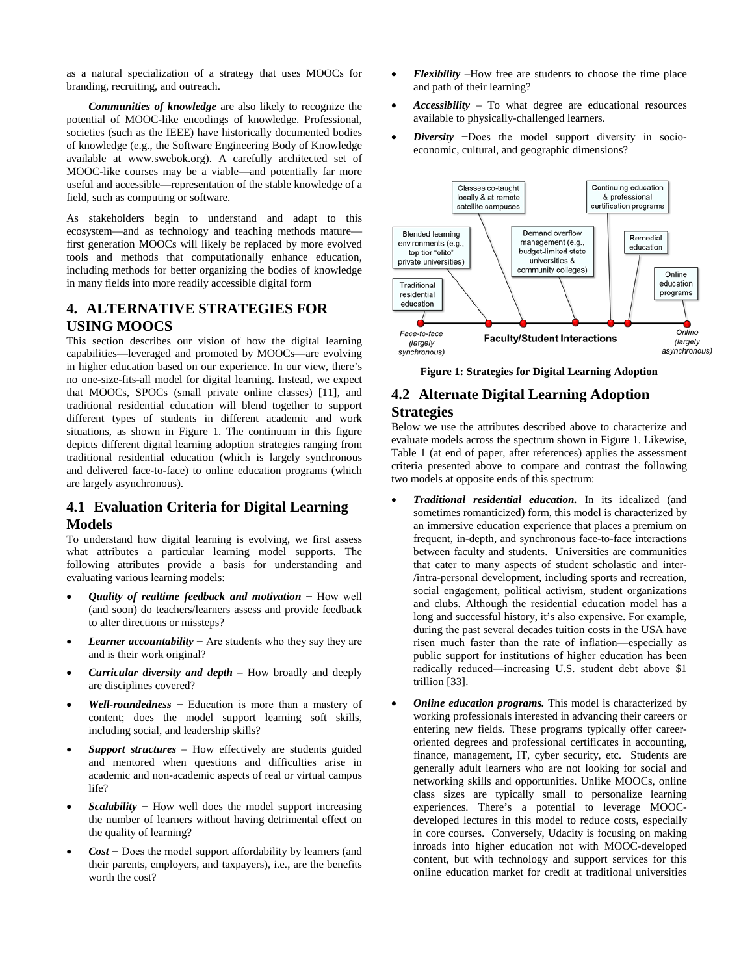as a natural specialization of a strategy that uses MOOCs for branding, recruiting, and outreach.

*Communities of knowledge* are also likely to recognize the potential of MOOC-like encodings of knowledge. Professional, societies (such as the IEEE) have historically documented bodies of knowledge (e.g., the Software Engineering Body of Knowledge available at www.swebok.org). A carefully architected set of MOOC-like courses may be a viable—and potentially far more useful and accessible—representation of the stable knowledge of a field, such as computing or software.

As stakeholders begin to understand and adapt to this ecosystem—and as technology and teaching methods mature first generation MOOCs will likely be replaced by more evolved tools and methods that computationally enhance education, including methods for better organizing the bodies of knowledge in many fields into more readily accessible digital form

# **4. ALTERNATIVE STRATEGIES FOR USING MOOCS**

This section describes our vision of how the digital learning capabilities—leveraged and promoted by MOOCs—are evolving in higher education based on our experience. In our view, there's no one-size-fits-all model for digital learning. Instead, we expect that MOOCs, SPOCs (small private online classes) [11], and traditional residential education will blend together to support different types of students in different academic and work situations, as shown in Figure 1. The continuum in this figure depicts different digital learning adoption strategies ranging from traditional residential education (which is largely synchronous and delivered face-to-face) to online education programs (which are largely asynchronous).

# **4.1 Evaluation Criteria for Digital Learning Models**

To understand how digital learning is evolving, we first assess what attributes a particular learning model supports. The following attributes provide a basis for understanding and evaluating various learning models:

- *Quality of realtime feedback and motivation* − How well (and soon) do teachers/learners assess and provide feedback to alter directions or missteps?
- *Learner accountability* − Are students who they say they are and is their work original?
- *Curricular diversity and depth* How broadly and deeply are disciplines covered?
- *Well-roundedness* − Education is more than a mastery of content; does the model support learning soft skills, including social, and leadership skills?
- *Support structures* How effectively are students guided and mentored when questions and difficulties arise in academic and non-academic aspects of real or virtual campus life?
- *Scalability* − How well does the model support increasing the number of learners without having detrimental effect on the quality of learning?
- *Cost* − Does the model support affordability by learners (and their parents, employers, and taxpayers), i.e., are the benefits worth the cost?
- *Flexibility* –How free are students to choose the time place and path of their learning?
- *Accessibility* To what degree are educational resources available to physically-challenged learners.
- *Diversity* −Does the model support diversity in socioeconomic, cultural, and geographic dimensions?



**Figure 1: Strategies for Digital Learning Adoption** 

## **4.2 Alternate Digital Learning Adoption Strategies**

Below we use the attributes described above to characterize and evaluate models across the spectrum shown in Figure 1. Likewise, Table 1 (at end of paper, after references) applies the assessment criteria presented above to compare and contrast the following two models at opposite ends of this spectrum:

- *Traditional residential education.* In its idealized (and sometimes romanticized) form, this model is characterized by an immersive education experience that places a premium on frequent, in-depth, and synchronous face-to-face interactions between faculty and students. Universities are communities that cater to many aspects of student scholastic and inter- /intra-personal development, including sports and recreation, social engagement, political activism, student organizations and clubs. Although the residential education model has a long and successful history, it's also expensive. For example, during the past several decades tuition costs in the USA have risen much faster than the rate of inflation—especially as public support for institutions of higher education has been radically reduced—increasing U.S. student debt above \$1 trillion [33].
- *Online education programs.* This model is characterized by working professionals interested in advancing their careers or entering new fields. These programs typically offer careeroriented degrees and professional certificates in accounting, finance, management, IT, cyber security, etc. Students are generally adult learners who are not looking for social and networking skills and opportunities. Unlike MOOCs, online class sizes are typically small to personalize learning experiences. There's a potential to leverage MOOCdeveloped lectures in this model to reduce costs, especially in core courses. Conversely, Udacity is focusing on making inroads into higher education not with MOOC-developed content, but with technology and support services for this online education market for credit at traditional universities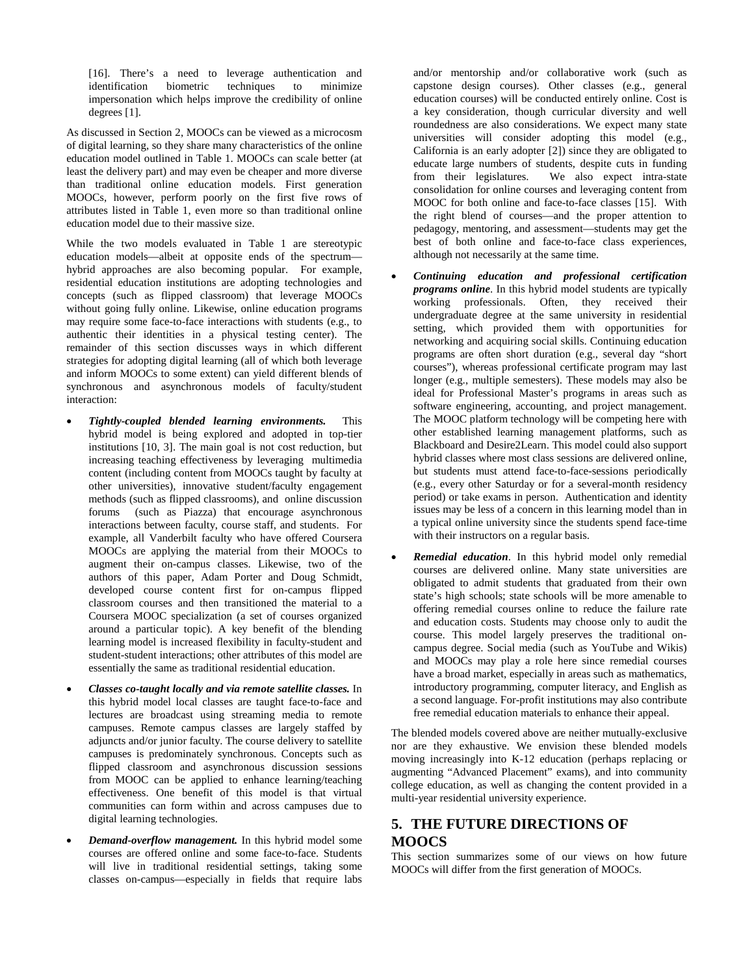[16]. There's a need to leverage authentication and identification biometric techniques to minimize impersonation which helps improve the credibility of online degrees [1].

As discussed in Section 2, MOOCs can be viewed as a microcosm of digital learning, so they share many characteristics of the online education model outlined in Table 1. MOOCs can scale better (at least the delivery part) and may even be cheaper and more diverse than traditional online education models. First generation MOOCs, however, perform poorly on the first five rows of attributes listed in Table 1, even more so than traditional online education model due to their massive size.

While the two models evaluated in Table 1 are stereotypic education models—albeit at opposite ends of the spectrum hybrid approaches are also becoming popular. For example, residential education institutions are adopting technologies and concepts (such as flipped classroom) that leverage MOOCs without going fully online. Likewise, online education programs may require some face-to-face interactions with students (e.g., to authentic their identities in a physical testing center). The remainder of this section discusses ways in which different strategies for adopting digital learning (all of which both leverage and inform MOOCs to some extent) can yield different blends of synchronous and asynchronous models of faculty/student interaction:

- *Tightly-coupled blended learning environments.* This hybrid model is being explored and adopted in top-tier institutions [10, 3]. The main goal is not cost reduction, but increasing teaching effectiveness by leveraging multimedia content (including content from MOOCs taught by faculty at other universities), innovative student/faculty engagement methods (such as flipped classrooms), and online discussion forums (such as Piazza) that encourage asynchronous interactions between faculty, course staff, and students. For example, all Vanderbilt faculty who have offered Coursera MOOCs are applying the material from their MOOCs to augment their on-campus classes. Likewise, two of the authors of this paper, Adam Porter and Doug Schmidt, developed course content first for on-campus flipped classroom courses and then transitioned the material to a Coursera MOOC specialization (a set of courses organized around a particular topic). A key benefit of the blending learning model is increased flexibility in faculty-student and student-student interactions; other attributes of this model are essentially the same as traditional residential education.
- *Classes co-taught locally and via remote satellite classes.* In this hybrid model local classes are taught face-to-face and lectures are broadcast using streaming media to remote campuses. Remote campus classes are largely staffed by adjuncts and/or junior faculty. The course delivery to satellite campuses is predominately synchronous. Concepts such as flipped classroom and asynchronous discussion sessions from MOOC can be applied to enhance learning/teaching effectiveness. One benefit of this model is that virtual communities can form within and across campuses due to digital learning technologies.
- *Demand-overflow management.* In this hybrid model some courses are offered online and some face-to-face. Students will live in traditional residential settings, taking some classes on-campus—especially in fields that require labs

and/or mentorship and/or collaborative work (such as capstone design courses). Other classes (e.g., general education courses) will be conducted entirely online. Cost is a key consideration, though curricular diversity and well roundedness are also considerations. We expect many state universities will consider adopting this model (e.g., California is an early adopter [2]) since they are obligated to educate large numbers of students, despite cuts in funding<br>from their legislatures. We also expect intra-state We also expect intra-state consolidation for online courses and leveraging content from MOOC for both online and face-to-face classes [15]. With the right blend of courses—and the proper attention to pedagogy, mentoring, and assessment—students may get the best of both online and face-to-face class experiences, although not necessarily at the same time.

- *Continuing education and professional certification programs online*. In this hybrid model students are typically working professionals. Often, they received their undergraduate degree at the same university in residential setting, which provided them with opportunities for networking and acquiring social skills. Continuing education programs are often short duration (e.g., several day "short courses"), whereas professional certificate program may last longer (e.g., multiple semesters). These models may also be ideal for Professional Master's programs in areas such as software engineering, accounting, and project management. The MOOC platform technology will be competing here with other established learning management platforms, such as Blackboard and Desire2Learn. This model could also support hybrid classes where most class sessions are delivered online, but students must attend face-to-face-sessions periodically (e.g., every other Saturday or for a several-month residency period) or take exams in person. Authentication and identity issues may be less of a concern in this learning model than in a typical online university since the students spend face-time with their instructors on a regular basis.
- *Remedial education*. In this hybrid model only remedial courses are delivered online. Many state universities are obligated to admit students that graduated from their own state's high schools; state schools will be more amenable to offering remedial courses online to reduce the failure rate and education costs. Students may choose only to audit the course. This model largely preserves the traditional oncampus degree. Social media (such as YouTube and Wikis) and MOOCs may play a role here since remedial courses have a broad market, especially in areas such as mathematics, introductory programming, computer literacy, and English as a second language. For-profit institutions may also contribute free remedial education materials to enhance their appeal.

The blended models covered above are neither mutually-exclusive nor are they exhaustive. We envision these blended models moving increasingly into K-12 education (perhaps replacing or augmenting "Advanced Placement" exams), and into community college education, as well as changing the content provided in a multi-year residential university experience.

# **5. THE FUTURE DIRECTIONS OF MOOCS**

This section summarizes some of our views on how future MOOCs will differ from the first generation of MOOCs.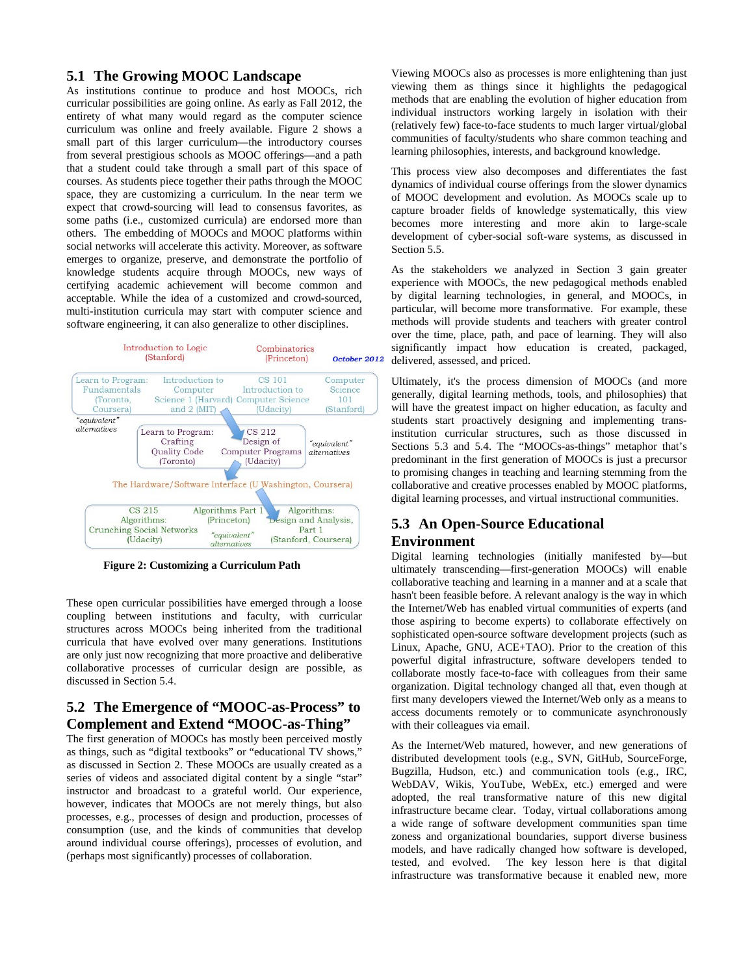## **5.1 The Growing MOOC Landscape**

As institutions continue to produce and host MOOCs, rich curricular possibilities are going online. As early as Fall 2012, the entirety of what many would regard as the computer science curriculum was online and freely available. Figure 2 shows a small part of this larger curriculum—the introductory courses from several prestigious schools as MOOC offerings—and a path that a student could take through a small part of this space of courses. As students piece together their paths through the MOOC space, they are customizing a curriculum. In the near term we expect that crowd-sourcing will lead to consensus favorites, as some paths (i.e., customized curricula) are endorsed more than others. The embedding of MOOCs and MOOC platforms within social networks will accelerate this activity. Moreover, as software emerges to organize, preserve, and demonstrate the portfolio of knowledge students acquire through MOOCs, new ways of certifying academic achievement will become common and acceptable. While the idea of a customized and crowd-sourced, multi-institution curricula may start with computer science and software engineering, it can also generalize to other disciplines.



**Figure 2: Customizing a Curriculum Path**

These open curricular possibilities have emerged through a loose coupling between institutions and faculty, with curricular structures across MOOCs being inherited from the traditional curricula that have evolved over many generations. Institutions are only just now recognizing that more proactive and deliberative collaborative processes of curricular design are possible, as discussed in Section 5.4.

# **5.2 The Emergence of "MOOC-as-Process" to Complement and Extend "MOOC-as-Thing"**

The first generation of MOOCs has mostly been perceived mostly as things, such as "digital textbooks" or "educational TV shows," as discussed in Section 2. These MOOCs are usually created as a series of videos and associated digital content by a single "star" instructor and broadcast to a grateful world. Our experience, however, indicates that MOOCs are not merely things, but also processes, e.g., processes of design and production, processes of consumption (use, and the kinds of communities that develop around individual course offerings), processes of evolution, and (perhaps most significantly) processes of collaboration.

Viewing MOOCs also as processes is more enlightening than just viewing them as things since it highlights the pedagogical methods that are enabling the evolution of higher education from individual instructors working largely in isolation with their (relatively few) face-to-face students to much larger virtual/global communities of faculty/students who share common teaching and learning philosophies, interests, and background knowledge.

This process view also decomposes and differentiates the fast dynamics of individual course offerings from the slower dynamics of MOOC development and evolution. As MOOCs scale up to capture broader fields of knowledge systematically, this view becomes more interesting and more akin to large-scale development of cyber-social soft-ware systems, as discussed in Section 5.5.

As the stakeholders we analyzed in Section 3 gain greater experience with MOOCs, the new pedagogical methods enabled by digital learning technologies, in general, and MOOCs, in particular, will become more transformative. For example, these methods will provide students and teachers with greater control over the time, place, path, and pace of learning. They will also significantly impact how education is created, packaged, delivered, assessed, and priced.

Ultimately, it's the process dimension of MOOCs (and more generally, digital learning methods, tools, and philosophies) that will have the greatest impact on higher education, as faculty and students start proactively designing and implementing transinstitution curricular structures, such as those discussed in Sections 5.3 and 5.4. The "MOOCs-as-things" metaphor that's predominant in the first generation of MOOCs is just a precursor to promising changes in teaching and learning stemming from the collaborative and creative processes enabled by MOOC platforms, digital learning processes, and virtual instructional communities.

# **5.3 An Open-Source Educational Environment**

Digital learning technologies (initially manifested by—but ultimately transcending—first-generation MOOCs) will enable collaborative teaching and learning in a manner and at a scale that hasn't been feasible before. A relevant analogy is the way in which the Internet/Web has enabled virtual communities of experts (and those aspiring to become experts) to collaborate effectively on sophisticated open-source software development projects (such as Linux, Apache, GNU, ACE+TAO). Prior to the creation of this powerful digital infrastructure, software developers tended to collaborate mostly face-to-face with colleagues from their same organization. Digital technology changed all that, even though at first many developers viewed the Internet/Web only as a means to access documents remotely or to communicate asynchronously with their colleagues via email.

As the Internet/Web matured, however, and new generations of distributed development tools (e.g., SVN, GitHub, SourceForge, Bugzilla, Hudson, etc.) and communication tools (e.g., IRC, WebDAV, Wikis, YouTube, WebEx, etc.) emerged and were adopted, the real transformative nature of this new digital infrastructure became clear. Today, virtual collaborations among a wide range of software development communities span time zoness and organizational boundaries, support diverse business models, and have radically changed how software is developed, tested, and evolved. The key lesson here is that digital infrastructure was transformative because it enabled new, more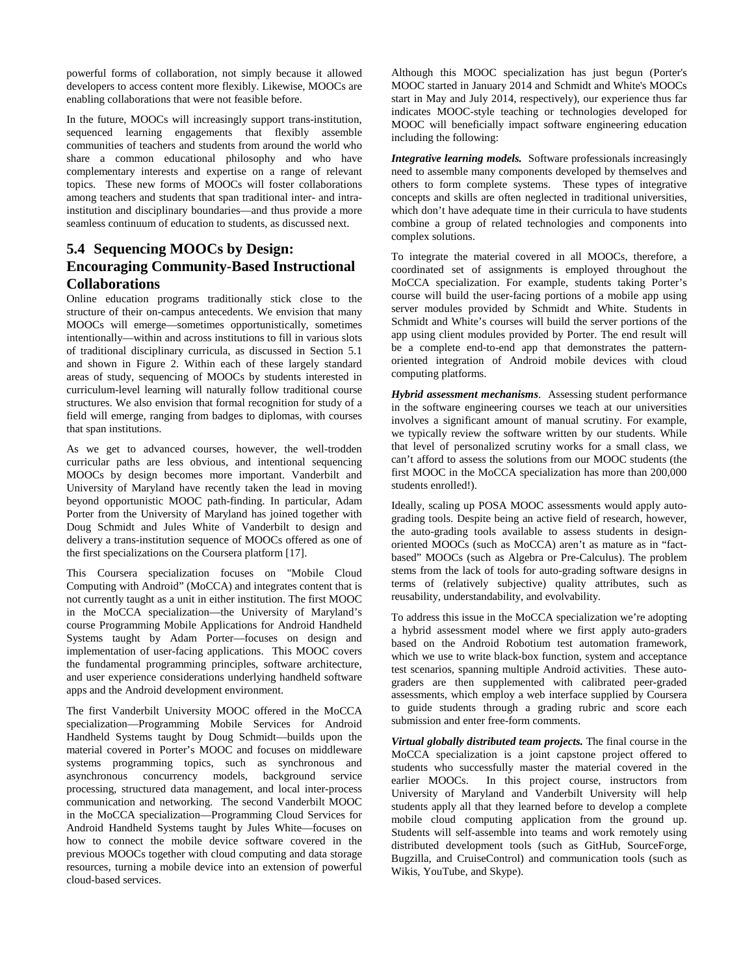powerful forms of collaboration, not simply because it allowed developers to access content more flexibly. Likewise, MOOCs are enabling collaborations that were not feasible before.

In the future, MOOCs will increasingly support trans-institution, sequenced learning engagements that flexibly assemble communities of teachers and students from around the world who share a common educational philosophy and who have complementary interests and expertise on a range of relevant topics. These new forms of MOOCs will foster collaborations among teachers and students that span traditional inter- and intrainstitution and disciplinary boundaries—and thus provide a more seamless continuum of education to students, as discussed next.

# **5.4 Sequencing MOOCs by Design: Encouraging Community-Based Instructional Collaborations**

Online education programs traditionally stick close to the structure of their on-campus antecedents. We envision that many MOOCs will emerge—sometimes opportunistically, sometimes intentionally—within and across institutions to fill in various slots of traditional disciplinary curricula, as discussed in Section 5.1 and shown in Figure 2. Within each of these largely standard areas of study, sequencing of MOOCs by students interested in curriculum-level learning will naturally follow traditional course structures. We also envision that formal recognition for study of a field will emerge, ranging from badges to diplomas, with courses that span institutions.

As we get to advanced courses, however, the well-trodden curricular paths are less obvious, and intentional sequencing MOOCs by design becomes more important. Vanderbilt and University of Maryland have recently taken the lead in moving beyond opportunistic MOOC path-finding. In particular, Adam Porter from the University of Maryland has joined together with Doug Schmidt and Jules White of Vanderbilt to design and delivery a trans-institution sequence of MOOCs offered as one of the first specializations on the Coursera platform [17].

This Coursera specialization focuses on "Mobile Cloud Computing with Android" (MoCCA) and integrates content that is not currently taught as a unit in either institution. The first MOOC in the MoCCA specialization—the University of Maryland's course Programming Mobile Applications for Android Handheld Systems taught by Adam Porter—focuses on design and implementation of user-facing applications. This MOOC covers the fundamental programming principles, software architecture, and user experience considerations underlying handheld software apps and the Android development environment.

The first Vanderbilt University MOOC offered in the MoCCA specialization—Programming Mobile Services for Android Handheld Systems taught by Doug Schmidt—builds upon the material covered in Porter's MOOC and focuses on middleware systems programming topics, such as synchronous and asynchronous concurrency models, background service processing, structured data management, and local inter-process communication and networking. The second Vanderbilt MOOC in the MoCCA specialization—Programming Cloud Services for Android Handheld Systems taught by Jules White—focuses on how to connect the mobile device software covered in the previous MOOCs together with cloud computing and data storage resources, turning a mobile device into an extension of powerful cloud-based services.

Although this MOOC specialization has just begun (Porter's MOOC started in January 2014 and Schmidt and White's MOOCs start in May and July 2014, respectively), our experience thus far indicates MOOC-style teaching or technologies developed for MOOC will beneficially impact software engineering education including the following:

*Integrative learning models.* Software professionals increasingly need to assemble many components developed by themselves and others to form complete systems. These types of integrative concepts and skills are often neglected in traditional universities, which don't have adequate time in their curricula to have students combine a group of related technologies and components into complex solutions.

To integrate the material covered in all MOOCs, therefore, a coordinated set of assignments is employed throughout the MoCCA specialization. For example, students taking Porter's course will build the user-facing portions of a mobile app using server modules provided by Schmidt and White. Students in Schmidt and White's courses will build the server portions of the app using client modules provided by Porter. The end result will be a complete end-to-end app that demonstrates the patternoriented integration of Android mobile devices with cloud computing platforms.

*Hybrid assessment mechanisms*. Assessing student performance in the software engineering courses we teach at our universities involves a significant amount of manual scrutiny. For example, we typically review the software written by our students. While that level of personalized scrutiny works for a small class, we can't afford to assess the solutions from our MOOC students (the first MOOC in the MoCCA specialization has more than 200,000 students enrolled!).

Ideally, scaling up POSA MOOC assessments would apply autograding tools. Despite being an active field of research, however, the auto-grading tools available to assess students in designoriented MOOCs (such as MoCCA) aren't as mature as in "factbased" MOOCs (such as Algebra or Pre-Calculus). The problem stems from the lack of tools for auto-grading software designs in terms of (relatively subjective) quality attributes, such as reusability, understandability, and evolvability.

To address this issue in the MoCCA specialization we're adopting a hybrid assessment model where we first apply auto-graders based on the Android Robotium test automation framework, which we use to write black-box function, system and acceptance test scenarios, spanning multiple Android activities. These autograders are then supplemented with calibrated peer-graded assessments, which employ a web interface supplied by Coursera to guide students through a grading rubric and score each submission and enter free-form comments.

*Virtual globally distributed team projects.* The final course in the MoCCA specialization is a joint capstone project offered to students who successfully master the material covered in the earlier MOOCs. In this project course, instructors from University of Maryland and Vanderbilt University will help students apply all that they learned before to develop a complete mobile cloud computing application from the ground up. Students will self-assemble into teams and work remotely using distributed development tools (such as GitHub, SourceForge, Bugzilla, and CruiseControl) and communication tools (such as Wikis, YouTube, and Skype).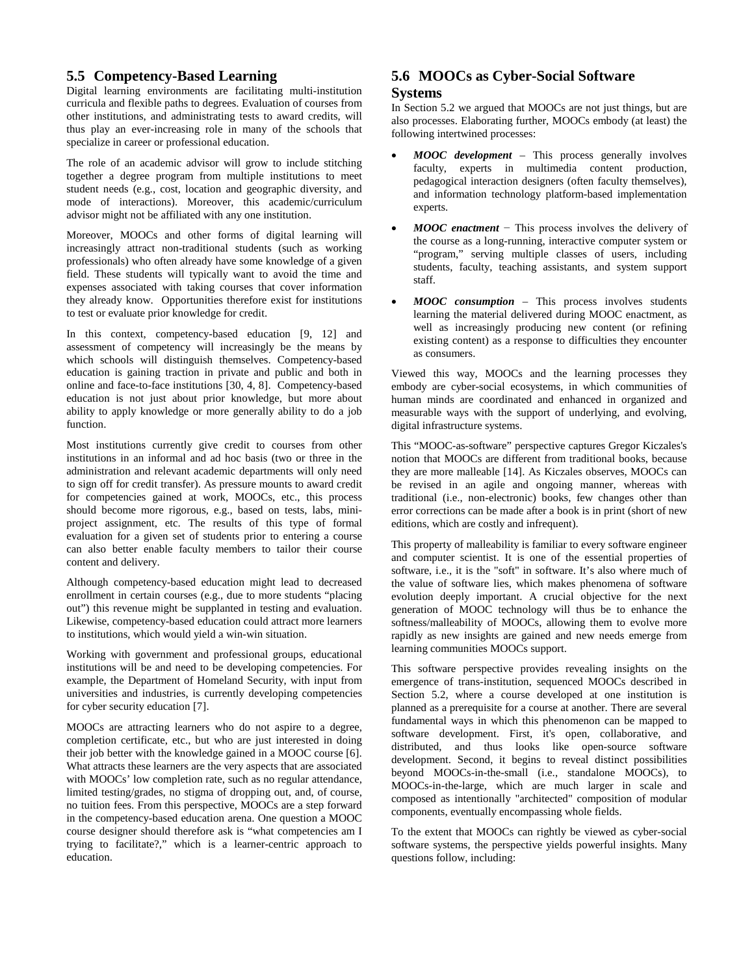## **5.5 Competency-Based Learning**

Digital learning environments are facilitating multi-institution curricula and flexible paths to degrees. Evaluation of courses from other institutions, and administrating tests to award credits, will thus play an ever-increasing role in many of the schools that specialize in career or professional education.

The role of an academic advisor will grow to include stitching together a degree program from multiple institutions to meet student needs (e.g., cost, location and geographic diversity, and mode of interactions). Moreover, this academic/curriculum advisor might not be affiliated with any one institution.

Moreover, MOOCs and other forms of digital learning will increasingly attract non-traditional students (such as working professionals) who often already have some knowledge of a given field. These students will typically want to avoid the time and expenses associated with taking courses that cover information they already know. Opportunities therefore exist for institutions to test or evaluate prior knowledge for credit.

In this context, competency-based education [9, 12] and assessment of competency will increasingly be the means by which schools will distinguish themselves. Competency-based education is gaining traction in private and public and both in online and face-to-face institutions [30, 4, 8]. Competency-based education is not just about prior knowledge, but more about ability to apply knowledge or more generally ability to do a job function.

Most institutions currently give credit to courses from other institutions in an informal and ad hoc basis (two or three in the administration and relevant academic departments will only need to sign off for credit transfer). As pressure mounts to award credit for competencies gained at work, MOOCs, etc., this process should become more rigorous, e.g., based on tests, labs, miniproject assignment, etc. The results of this type of formal evaluation for a given set of students prior to entering a course can also better enable faculty members to tailor their course content and delivery.

Although competency-based education might lead to decreased enrollment in certain courses (e.g., due to more students "placing out") this revenue might be supplanted in testing and evaluation. Likewise, competency-based education could attract more learners to institutions, which would yield a win-win situation.

Working with government and professional groups, educational institutions will be and need to be developing competencies. For example, the Department of Homeland Security, with input from universities and industries, is currently developing competencies for cyber security education [7].

MOOCs are attracting learners who do not aspire to a degree, completion certificate, etc., but who are just interested in doing their job better with the knowledge gained in a MOOC course [6]. What attracts these learners are the very aspects that are associated with MOOCs' low completion rate, such as no regular attendance, limited testing/grades, no stigma of dropping out, and, of course, no tuition fees. From this perspective, MOOCs are a step forward in the competency-based education arena. One question a MOOC course designer should therefore ask is "what competencies am I trying to facilitate?," which is a learner-centric approach to education.

# **5.6 MOOCs as Cyber-Social Software**

## **Systems**

In Section 5.2 we argued that MOOCs are not just things, but are also processes. Elaborating further, MOOCs embody (at least) the following intertwined processes:

- *MOOC development* This process generally involves faculty, experts in multimedia content production, pedagogical interaction designers (often faculty themselves), and information technology platform-based implementation experts.
- *MOOC enactment* − This process involves the delivery of the course as a long-running, interactive computer system or "program," serving multiple classes of users, including students, faculty, teaching assistants, and system support staff.
- *MOOC consumption* This process involves students learning the material delivered during MOOC enactment, as well as increasingly producing new content (or refining existing content) as a response to difficulties they encounter as consumers.

Viewed this way, MOOCs and the learning processes they embody are cyber-social ecosystems, in which communities of human minds are coordinated and enhanced in organized and measurable ways with the support of underlying, and evolving, digital infrastructure systems.

This "MOOC-as-software" perspective captures Gregor Kiczales's notion that MOOCs are different from traditional books, because they are more malleable [14]. As Kiczales observes, MOOCs can be revised in an agile and ongoing manner, whereas with traditional (i.e., non-electronic) books, few changes other than error corrections can be made after a book is in print (short of new editions, which are costly and infrequent).

This property of malleability is familiar to every software engineer and computer scientist. It is one of the essential properties of software, i.e., it is the "soft" in software. It's also where much of the value of software lies, which makes phenomena of software evolution deeply important. A crucial objective for the next generation of MOOC technology will thus be to enhance the softness/malleability of MOOCs, allowing them to evolve more rapidly as new insights are gained and new needs emerge from learning communities MOOCs support.

This software perspective provides revealing insights on the emergence of trans-institution, sequenced MOOCs described in Section 5.2, where a course developed at one institution is planned as a prerequisite for a course at another. There are several fundamental ways in which this phenomenon can be mapped to software development. First, it's open, collaborative, and distributed, and thus looks like open-source software development. Second, it begins to reveal distinct possibilities beyond MOOCs-in-the-small (i.e., standalone MOOCs), to MOOCs-in-the-large, which are much larger in scale and composed as intentionally "architected" composition of modular components, eventually encompassing whole fields.

To the extent that MOOCs can rightly be viewed as cyber-social software systems, the perspective yields powerful insights. Many questions follow, including: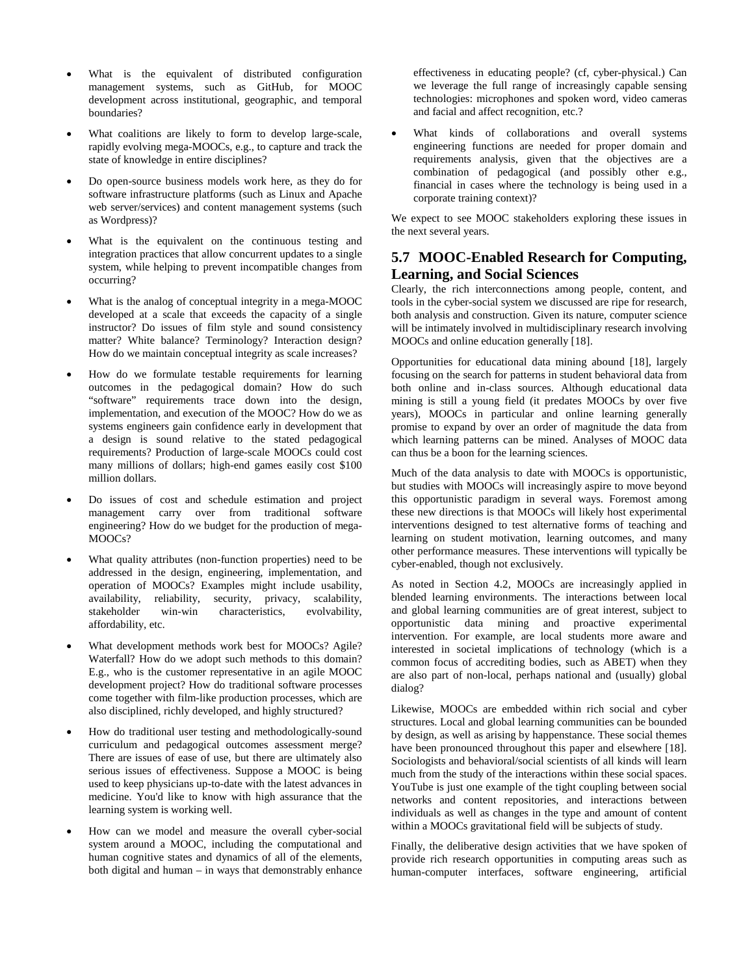- What is the equivalent of distributed configuration management systems, such as GitHub, for MOOC development across institutional, geographic, and temporal boundaries?
- What coalitions are likely to form to develop large-scale, rapidly evolving mega-MOOCs, e.g., to capture and track the state of knowledge in entire disciplines?
- Do open-source business models work here, as they do for software infrastructure platforms (such as Linux and Apache web server/services) and content management systems (such as Wordpress)?
- What is the equivalent on the continuous testing and integration practices that allow concurrent updates to a single system, while helping to prevent incompatible changes from occurring?
- What is the analog of conceptual integrity in a mega-MOOC developed at a scale that exceeds the capacity of a single instructor? Do issues of film style and sound consistency matter? White balance? Terminology? Interaction design? How do we maintain conceptual integrity as scale increases?
- How do we formulate testable requirements for learning outcomes in the pedagogical domain? How do such "software" requirements trace down into the design, implementation, and execution of the MOOC? How do we as systems engineers gain confidence early in development that a design is sound relative to the stated pedagogical requirements? Production of large-scale MOOCs could cost many millions of dollars; high-end games easily cost \$100 million dollars.
- Do issues of cost and schedule estimation and project management carry over from traditional software engineering? How do we budget for the production of mega-MOOCs?
- What quality attributes (non-function properties) need to be addressed in the design, engineering, implementation, and operation of MOOCs? Examples might include usability, availability, reliability, security, privacy, scalability, stakeholder win-win characteristics, evolvability, characteristics, affordability, etc.
- What development methods work best for MOOCs? Agile? Waterfall? How do we adopt such methods to this domain? E.g., who is the customer representative in an agile MOOC development project? How do traditional software processes come together with film-like production processes, which are also disciplined, richly developed, and highly structured?
- How do traditional user testing and methodologically-sound curriculum and pedagogical outcomes assessment merge? There are issues of ease of use, but there are ultimately also serious issues of effectiveness. Suppose a MOOC is being used to keep physicians up-to-date with the latest advances in medicine. You'd like to know with high assurance that the learning system is working well.
- How can we model and measure the overall cyber-social system around a MOOC, including the computational and human cognitive states and dynamics of all of the elements, both digital and human – in ways that demonstrably enhance

effectiveness in educating people? (cf, cyber-physical.) Can we leverage the full range of increasingly capable sensing technologies: microphones and spoken word, video cameras and facial and affect recognition, etc.?

What kinds of collaborations and overall systems engineering functions are needed for proper domain and requirements analysis, given that the objectives are a combination of pedagogical (and possibly other e.g., financial in cases where the technology is being used in a corporate training context)?

We expect to see MOOC stakeholders exploring these issues in the next several years.

# **5.7 MOOC-Enabled Research for Computing, Learning, and Social Sciences**

Clearly, the rich interconnections among people, content, and tools in the cyber-social system we discussed are ripe for research, both analysis and construction. Given its nature, computer science will be intimately involved in multidisciplinary research involving MOOCs and online education generally [18].

Opportunities for educational data mining abound [18], largely focusing on the search for patterns in student behavioral data from both online and in-class sources. Although educational data mining is still a young field (it predates MOOCs by over five years), MOOCs in particular and online learning generally promise to expand by over an order of magnitude the data from which learning patterns can be mined. Analyses of MOOC data can thus be a boon for the learning sciences.

Much of the data analysis to date with MOOCs is opportunistic, but studies with MOOCs will increasingly aspire to move beyond this opportunistic paradigm in several ways. Foremost among these new directions is that MOOCs will likely host experimental interventions designed to test alternative forms of teaching and learning on student motivation, learning outcomes, and many other performance measures. These interventions will typically be cyber-enabled, though not exclusively.

As noted in Section 4.2, MOOCs are increasingly applied in blended learning environments. The interactions between local and global learning communities are of great interest, subject to opportunistic data mining and proactive experimental intervention. For example, are local students more aware and interested in societal implications of technology (which is a common focus of accrediting bodies, such as ABET) when they are also part of non-local, perhaps national and (usually) global dialog?

Likewise, MOOCs are embedded within rich social and cyber structures. Local and global learning communities can be bounded by design, as well as arising by happenstance. These social themes have been pronounced throughout this paper and elsewhere [18]. Sociologists and behavioral/social scientists of all kinds will learn much from the study of the interactions within these social spaces. YouTube is just one example of the tight coupling between social networks and content repositories, and interactions between individuals as well as changes in the type and amount of content within a MOOCs gravitational field will be subjects of study.

Finally, the deliberative design activities that we have spoken of provide rich research opportunities in computing areas such as human-computer interfaces, software engineering, artificial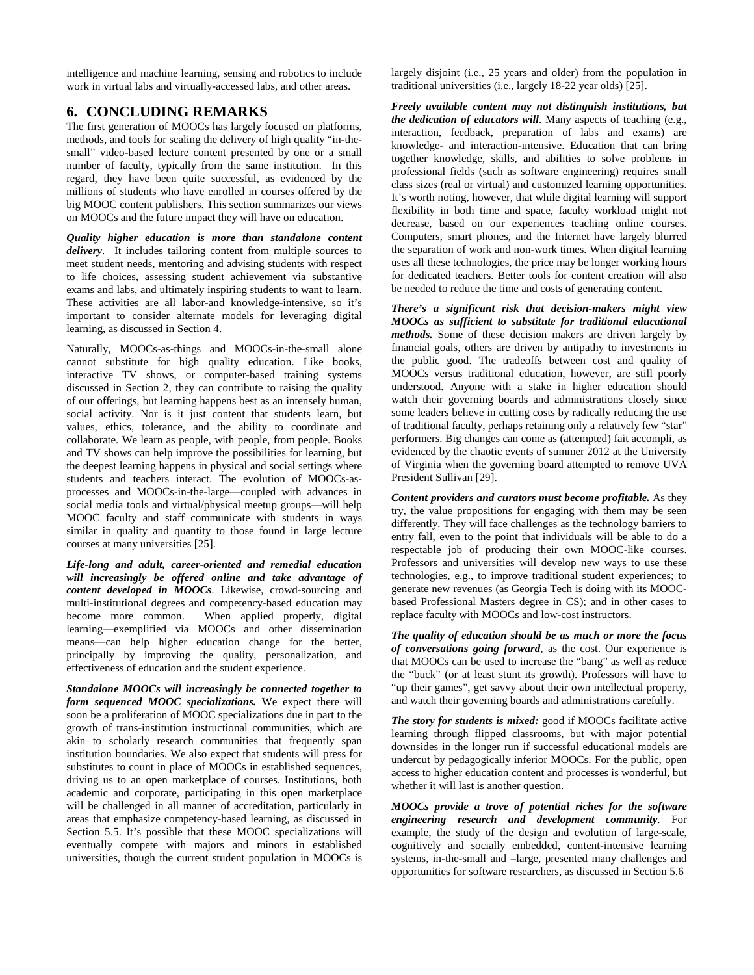intelligence and machine learning, sensing and robotics to include work in virtual labs and virtually-accessed labs, and other areas.

# **6. CONCLUDING REMARKS**

The first generation of MOOCs has largely focused on platforms, methods, and tools for scaling the delivery of high quality "in-thesmall" video-based lecture content presented by one or a small number of faculty, typically from the same institution. In this regard, they have been quite successful, as evidenced by the millions of students who have enrolled in courses offered by the big MOOC content publishers. This section summarizes our views on MOOCs and the future impact they will have on education.

*Quality higher education is more than standalone content delivery*. It includes tailoring content from multiple sources to meet student needs, mentoring and advising students with respect to life choices, assessing student achievement via substantive exams and labs, and ultimately inspiring students to want to learn. These activities are all labor-and knowledge-intensive, so it's important to consider alternate models for leveraging digital learning, as discussed in Section 4.

Naturally, MOOCs-as-things and MOOCs-in-the-small alone cannot substitute for high quality education. Like books, interactive TV shows, or computer-based training systems discussed in Section 2, they can contribute to raising the quality of our offerings, but learning happens best as an intensely human, social activity. Nor is it just content that students learn, but values, ethics, tolerance, and the ability to coordinate and collaborate. We learn as people, with people, from people. Books and TV shows can help improve the possibilities for learning, but the deepest learning happens in physical and social settings where students and teachers interact. The evolution of MOOCs-asprocesses and MOOCs-in-the-large—coupled with advances in social media tools and virtual/physical meetup groups—will help MOOC faculty and staff communicate with students in ways similar in quality and quantity to those found in large lecture courses at many universities [25].

*Life-long and adult, career-oriented and remedial education will increasingly be offered online and take advantage of content developed in MOOCs*. Likewise, crowd-sourcing and multi-institutional degrees and competency-based education may become more common. When applied properly, digital learning—exemplified via MOOCs and other dissemination means—can help higher education change for the better, principally by improving the quality, personalization, and effectiveness of education and the student experience.

*Standalone MOOCs will increasingly be connected together to form sequenced MOOC specializations.* We expect there will soon be a proliferation of MOOC specializations due in part to the growth of trans-institution instructional communities, which are akin to scholarly research communities that frequently span institution boundaries. We also expect that students will press for substitutes to count in place of MOOCs in established sequences, driving us to an open marketplace of courses. Institutions, both academic and corporate, participating in this open marketplace will be challenged in all manner of accreditation, particularly in areas that emphasize competency-based learning, as discussed in Section 5.5. It's possible that these MOOC specializations will eventually compete with majors and minors in established universities, though the current student population in MOOCs is largely disjoint (i.e., 25 years and older) from the population in traditional universities (i.e., largely 18-22 year olds) [25].

*Freely available content may not distinguish institutions, but the dedication of educators will*. Many aspects of teaching (e.g., interaction, feedback, preparation of labs and exams) are knowledge- and interaction-intensive. Education that can bring together knowledge, skills, and abilities to solve problems in professional fields (such as software engineering) requires small class sizes (real or virtual) and customized learning opportunities. It's worth noting, however, that while digital learning will support flexibility in both time and space, faculty workload might not decrease, based on our experiences teaching online courses. Computers, smart phones, and the Internet have largely blurred the separation of work and non-work times. When digital learning uses all these technologies, the price may be longer working hours for dedicated teachers. Better tools for content creation will also be needed to reduce the time and costs of generating content.

*There's a significant risk that decision-makers might view MOOCs as sufficient to substitute for traditional educational methods.* Some of these decision makers are driven largely by financial goals, others are driven by antipathy to investments in the public good. The tradeoffs between cost and quality of MOOCs versus traditional education, however, are still poorly understood. Anyone with a stake in higher education should watch their governing boards and administrations closely since some leaders believe in cutting costs by radically reducing the use of traditional faculty, perhaps retaining only a relatively few "star" performers. Big changes can come as (attempted) fait accompli, as evidenced by the chaotic events of summer 2012 at the University of Virginia when the governing board attempted to remove UVA President Sullivan [29].

*Content providers and curators must become profitable.* As they try, the value propositions for engaging with them may be seen differently. They will face challenges as the technology barriers to entry fall, even to the point that individuals will be able to do a respectable job of producing their own MOOC-like courses. Professors and universities will develop new ways to use these technologies, e.g., to improve traditional student experiences; to generate new revenues (as Georgia Tech is doing with its MOOCbased Professional Masters degree in CS); and in other cases to replace faculty with MOOCs and low-cost instructors.

*The quality of education should be as much or more the focus of conversations going forward*, as the cost. Our experience is that MOOCs can be used to increase the "bang" as well as reduce the "buck" (or at least stunt its growth). Professors will have to "up their games", get savvy about their own intellectual property, and watch their governing boards and administrations carefully.

*The story for students is mixed:* good if MOOCs facilitate active learning through flipped classrooms, but with major potential downsides in the longer run if successful educational models are undercut by pedagogically inferior MOOCs. For the public, open access to higher education content and processes is wonderful, but whether it will last is another question.

*MOOCs provide a trove of potential riches for the software engineering research and development community*. For example, the study of the design and evolution of large-scale, cognitively and socially embedded, content-intensive learning systems, in-the-small and –large, presented many challenges and opportunities for software researchers, as discussed in Section 5.6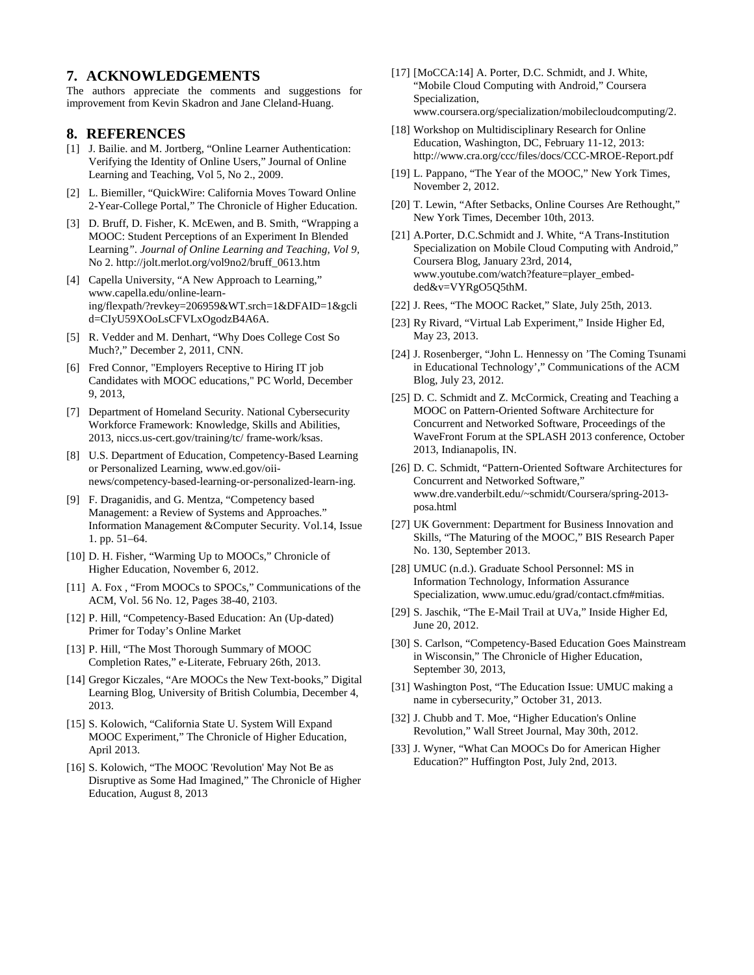## **7. ACKNOWLEDGEMENTS**

The authors appreciate the comments and suggestions for improvement from Kevin Skadron and Jane Cleland-Huang.

### **8. REFERENCES**

- [1] J. Bailie. and M. Jortberg, "Online Learner Authentication: Verifying the Identity of Online Users," Journal of Online Learning and Teaching, Vol 5, No 2., 2009.
- [2] L. Biemiller, "QuickWire: California Moves Toward Online 2-Year-College Portal," The Chronicle of Higher Education.
- [3] D. Bruff, D. Fisher, K. McEwen, and B. Smith, "Wrapping a MOOC: Student Perceptions of an Experiment In Blended Learning*". Journal of Online Learning and Teaching, Vol 9,*  No 2. http://jolt.merlot.org/vol9no2/bruff\_0613.htm
- [4] Capella University, "A New Approach to Learning," www.capella.edu/online-learning/flexpath/?revkey=206959&WT.srch=1&DFAID=1&gcli d=CIyU59XOoLsCFVLxOgodzB4A6A.
- [5] R. Vedder and M. Denhart, "Why Does College Cost So Much?," December 2, 2011, CNN.
- [6] Fred Connor, "Employers Receptive to Hiring IT job Candidates with MOOC educations," PC World, December 9, 2013,
- [7] Department of Homeland Security. National Cybersecurity Workforce Framework: Knowledge, Skills and Abilities, 2013, niccs.us-cert.gov/training/tc/ frame-work/ksas.
- [8] U.S. Department of Education, Competency-Based Learning or Personalized Learning, www.ed.gov/oiinews/competency-based-learning-or-personalized-learn-ing.
- [9] F. Draganidis, and G. Mentza, "Competency based Management: a Review of Systems and Approaches." Information Management &Computer Security. Vol.14, Issue 1. pp. 51–64.
- [10] D. H. Fisher, "Warming Up to MOOCs," Chronicle of Higher Education, November 6, 2012.
- [11] A. Fox, "From MOOCs to SPOCs," Communications of the ACM, Vol. 56 No. 12, Pages 38-40, 2103.
- [12] P. Hill, "Competency-Based Education: An (Up-dated) Primer for Today's Online Market
- [13] P. Hill, "The Most Thorough Summary of MOOC Completion Rates," e-Literate, February 26th, 2013.
- [14] Gregor Kiczales, "Are MOOCs the New Text-books," Digital Learning Blog, University of British Columbia, December 4, 2013.
- [15] S. Kolowich, "California State U. System Will Expand MOOC Experiment," The Chronicle of Higher Education, April 2013.
- [16] S. Kolowich, "The MOOC 'Revolution' May Not Be as Disruptive as Some Had Imagined," The Chronicle of Higher Education, August 8, 2013
- [17] [MoCCA:14] A. Porter, D.C. Schmidt, and J. White, "Mobile Cloud Computing with Android," Coursera Specialization, www.coursera.org/specialization/mobilecloudcomputing/2.
- [18] Workshop on Multidisciplinary Research for Online Education, Washington, DC, February 11-12, 2013: http://www.cra.org/ccc/files/docs/CCC-MROE-Report.pdf
- [19] L. Pappano, "The Year of the MOOC," New York Times, November 2, 2012.
- [20] T. Lewin, "After Setbacks, Online Courses Are Rethought," New York Times, December 10th, 2013.
- [21] A.Porter, D.C.Schmidt and J. White, "A Trans-Institution Specialization on Mobile Cloud Computing with Android," Coursera Blog, January 23rd, 2014, www.youtube.com/watch?feature=player\_embedded&v=VYRgO5Q5thM.
- [22] J. Rees, "The MOOC Racket," Slate, July 25th, 2013.
- [23] Ry Rivard, "Virtual Lab Experiment," Inside Higher Ed, May 23, 2013.
- [24] J. Rosenberger, "John L. Hennessy on 'The Coming Tsunami in Educational Technology'," Communications of the ACM Blog, July 23, 2012.
- [25] D. C. Schmidt and Z. McCormick, Creating and Teaching a MOOC on Pattern-Oriented Software Architecture for Concurrent and Networked Software, Proceedings of the WaveFront Forum at the SPLASH 2013 conference, October 2013, Indianapolis, IN.
- [26] D. C. Schmidt, "Pattern-Oriented Software Architectures for Concurrent and Networked Software," www.dre.vanderbilt.edu/~schmidt/Coursera/spring-2013 posa.html
- [27] UK Government: Department for Business Innovation and Skills, "The Maturing of the MOOC," BIS Research Paper No. 130, September 2013.
- [28] UMUC (n.d.). Graduate School Personnel: MS in Information Technology, Information Assurance Specialization, www.umuc.edu/grad/contact.cfm#mitias.
- [29] S. Jaschik, "The E-Mail Trail at UVa," Inside Higher Ed, June 20, 2012.
- [30] S. Carlson, "Competency-Based Education Goes Mainstream in Wisconsin," The Chronicle of Higher Education, September 30, 2013,
- [31] Washington Post, "The Education Issue: UMUC making a name in cybersecurity," October 31, 2013.
- [32] J. Chubb and T. Moe, "Higher Education's Online Revolution," Wall Street Journal, May 30th, 2012.
- [33] J. Wyner, "What Can MOOCs Do for American Higher Education?" Huffington Post, July 2nd, 2013.